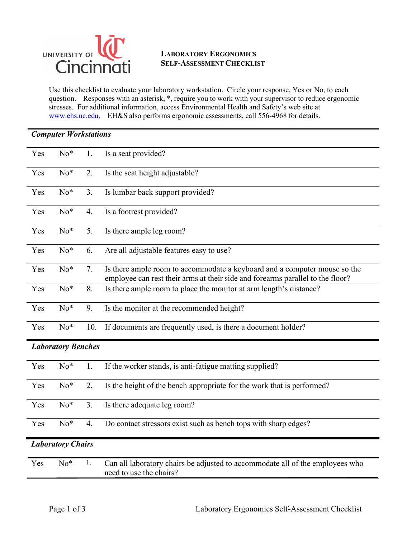

## **LABORATORY ERGONOMICS SELF-ASSESSMENT CHECKLIST**

Use this checklist to evaluate your laboratory workstation. Circle your response, Yes or No, to each question. Responses with an asterisk, \*, require you to work with your supervisor to reduce ergonomic stresses. For additional information, access Environmental Health and Safety's web site at [www.ehs.uc.edu.](https://www.uc.edu/about/admin-finance/ehs/training/advanced-laboratory-safety-training.html) EH&S also performs ergonomic assessments, call 556-4968 for details.

|                           | <b>Computer Workstations</b> |     |                                                                                                                                                             |  |  |  |
|---------------------------|------------------------------|-----|-------------------------------------------------------------------------------------------------------------------------------------------------------------|--|--|--|
| Yes                       | $No*$                        | 1.  | Is a seat provided?                                                                                                                                         |  |  |  |
| Yes                       | No*                          | 2.  | Is the seat height adjustable?                                                                                                                              |  |  |  |
| Yes                       | No*                          | 3.  | Is lumbar back support provided?                                                                                                                            |  |  |  |
| Yes                       | $No*$                        | 4.  | Is a footrest provided?                                                                                                                                     |  |  |  |
| Yes                       | $No*$                        | 5.  | Is there ample leg room?                                                                                                                                    |  |  |  |
| Yes                       | $No*$                        | 6.  | Are all adjustable features easy to use?                                                                                                                    |  |  |  |
| Yes                       | $No*$                        | 7.  | Is there ample room to accommodate a keyboard and a computer mouse so the<br>employee can rest their arms at their side and forearms parallel to the floor? |  |  |  |
| Yes                       | No*                          | 8.  | Is there ample room to place the monitor at arm length's distance?                                                                                          |  |  |  |
| Yes                       | No*                          | 9.  | Is the monitor at the recommended height?                                                                                                                   |  |  |  |
| Yes                       | $No*$                        | 10. | If documents are frequently used, is there a document holder?                                                                                               |  |  |  |
| <b>Laboratory Benches</b> |                              |     |                                                                                                                                                             |  |  |  |
| Yes                       | $No*$                        | 1.  | If the worker stands, is anti-fatigue matting supplied?                                                                                                     |  |  |  |
| Yes                       | $No*$                        | 2.  | Is the height of the bench appropriate for the work that is performed?                                                                                      |  |  |  |
| Yes                       | No*                          | 3.  | Is there adequate leg room?                                                                                                                                 |  |  |  |
| Yes                       | $No*$                        | 4.  | Do contact stressors exist such as bench tops with sharp edges?                                                                                             |  |  |  |
|                           | <b>Laboratory Chairs</b>     |     |                                                                                                                                                             |  |  |  |
| Yes                       | $No*$                        | 1.  | Can all laboratory chairs be adjusted to accommodate all of the employees who<br>need to use the chairs?                                                    |  |  |  |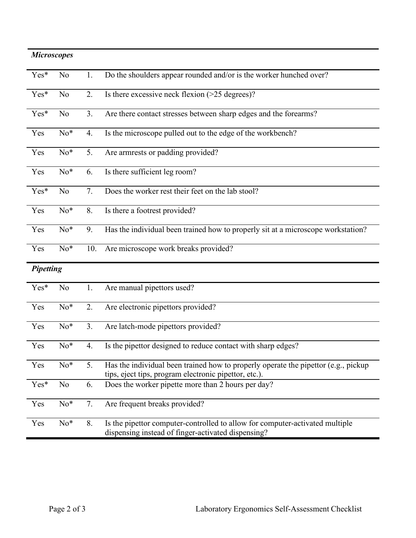| <b>Microscopes</b> |                |     |                                                                                                                                             |  |
|--------------------|----------------|-----|---------------------------------------------------------------------------------------------------------------------------------------------|--|
| Yes*               | N <sub>o</sub> | 1.  | Do the shoulders appear rounded and/or is the worker hunched over?                                                                          |  |
| Yes*               | N <sub>o</sub> | 2.  | Is there excessive neck flexion $($ >25 degrees $)$ ?                                                                                       |  |
| Yes*               | N <sub>o</sub> | 3.  | Are there contact stresses between sharp edges and the forearms?                                                                            |  |
| Yes                | $No*$          | 4.  | Is the microscope pulled out to the edge of the workbench?                                                                                  |  |
| Yes                | $No*$          | 5.  | Are armrests or padding provided?                                                                                                           |  |
| Yes                | $No*$          | 6.  | Is there sufficient leg room?                                                                                                               |  |
| Yes*               | N <sub>o</sub> | 7.  | Does the worker rest their feet on the lab stool?                                                                                           |  |
| Yes                | $No*$          | 8.  | Is there a footrest provided?                                                                                                               |  |
| Yes                | $No*$          | 9.  | Has the individual been trained how to properly sit at a microscope workstation?                                                            |  |
| Yes                | $No*$          | 10. | Are microscope work breaks provided?                                                                                                        |  |
| <b>Pipetting</b>   |                |     |                                                                                                                                             |  |
| Yes*               | No             | 1.  | Are manual pipettors used?                                                                                                                  |  |
| Yes                | $No*$          | 2.  | Are electronic pipettors provided?                                                                                                          |  |
| Yes                | $No*$          | 3.  | Are latch-mode pipettors provided?                                                                                                          |  |
| Yes                | $No*$          | 4.  | Is the pipettor designed to reduce contact with sharp edges?                                                                                |  |
| Yes                | $No*$          | 5.  | Has the individual been trained how to properly operate the pipettor (e.g., pickup<br>tips, eject tips, program electronic pipettor, etc.). |  |
| Yes*               | No             | 6.  | Does the worker pipette more than 2 hours per day?                                                                                          |  |
| Yes                | $No*$          | 7.  | Are frequent breaks provided?                                                                                                               |  |
| Yes                | $No*$          | 8.  | Is the pipettor computer-controlled to allow for computer-activated multiple<br>dispensing instead of finger-activated dispensing?          |  |